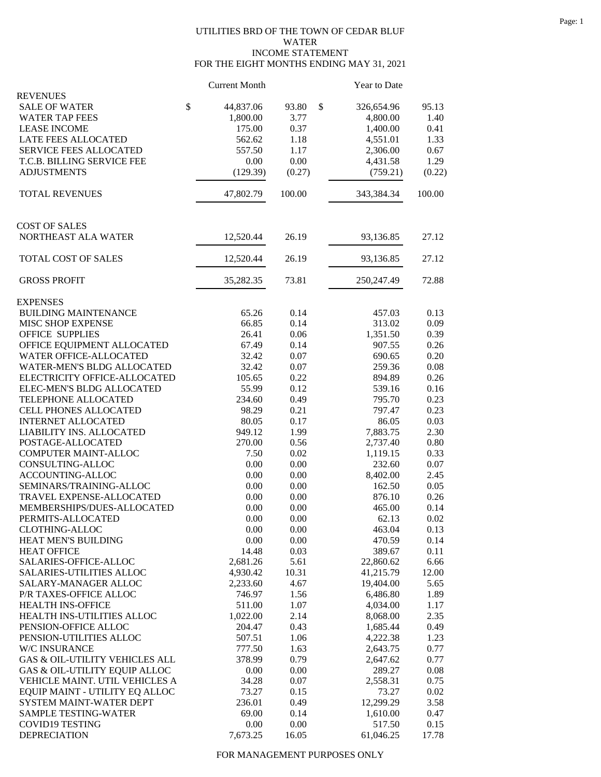## UTILITIES BRD OF THE TOWN OF CEDAR BLUF WATER INCOME STATEMENT FOR THE EIGHT MONTHS ENDING MAY 31, 2021

|                                              | <b>Current Month</b> |               | Year to Date           |              |
|----------------------------------------------|----------------------|---------------|------------------------|--------------|
| <b>REVENUES</b><br><b>SALE OF WATER</b>      | \$<br>44,837.06      | 93.80         | \$<br>326,654.96       | 95.13        |
| <b>WATER TAP FEES</b>                        | 1,800.00             | 3.77          | 4,800.00               | 1.40         |
| <b>LEASE INCOME</b>                          | 175.00               | 0.37          | 1,400.00               | 0.41         |
| LATE FEES ALLOCATED                          | 562.62               | 1.18          | 4,551.01               | 1.33         |
| <b>SERVICE FEES ALLOCATED</b>                | 557.50               | 1.17          | 2,306.00               | 0.67         |
| T.C.B. BILLING SERVICE FEE                   | 0.00                 | 0.00          | 4,431.58               | 1.29         |
| <b>ADJUSTMENTS</b>                           | (129.39)             | (0.27)        | (759.21)               | (0.22)       |
|                                              |                      |               |                        |              |
| <b>TOTAL REVENUES</b>                        | 47,802.79            | 100.00        | 343,384.34             | 100.00       |
| <b>COST OF SALES</b>                         |                      |               |                        |              |
| NORTHEAST ALA WATER                          | 12,520.44            | 26.19         | 93,136.85              | 27.12        |
| TOTAL COST OF SALES                          | 12,520.44            | 26.19         | 93,136.85              | 27.12        |
| <b>GROSS PROFIT</b>                          | 35,282.35            | 73.81         | 250, 247. 49           | 72.88        |
| <b>EXPENSES</b>                              |                      |               |                        |              |
| <b>BUILDING MAINTENANCE</b>                  | 65.26                | 0.14          | 457.03                 | 0.13         |
| MISC SHOP EXPENSE                            | 66.85                | 0.14          | 313.02                 | 0.09         |
| <b>OFFICE SUPPLIES</b>                       | 26.41                | 0.06          | 1,351.50               | 0.39         |
| OFFICE EQUIPMENT ALLOCATED                   | 67.49                | 0.14          | 907.55                 | 0.26         |
| WATER OFFICE-ALLOCATED                       | 32.42                | 0.07          | 690.65                 | 0.20         |
| WATER-MEN'S BLDG ALLOCATED                   | 32.42                | 0.07          | 259.36                 | 0.08         |
| ELECTRICITY OFFICE-ALLOCATED                 | 105.65               | 0.22          | 894.89                 | 0.26         |
| ELEC-MEN'S BLDG ALLOCATED                    | 55.99                | 0.12          | 539.16                 | 0.16         |
| TELEPHONE ALLOCATED                          | 234.60               | 0.49          | 795.70                 | 0.23         |
| <b>CELL PHONES ALLOCATED</b>                 | 98.29                | 0.21          | 797.47                 | 0.23         |
| <b>INTERNET ALLOCATED</b>                    | 80.05                | 0.17          | 86.05                  | 0.03         |
| LIABILITY INS. ALLOCATED                     | 949.12               | 1.99          | 7,883.75               | 2.30         |
| POSTAGE-ALLOCATED                            | 270.00               | 0.56          | 2,737.40               | 0.80         |
| COMPUTER MAINT-ALLOC                         | 7.50                 | 0.02          | 1,119.15               | 0.33         |
| CONSULTING-ALLOC                             | 0.00                 | 0.00          | 232.60                 | 0.07         |
| ACCOUNTING-ALLOC                             | 0.00                 | 0.00          | 8,402.00               | 2.45         |
| SEMINARS/TRAINING-ALLOC                      | 0.00                 | 0.00          | 162.50                 | 0.05         |
| TRAVEL EXPENSE-ALLOCATED                     | 0.00                 | 0.00          | 876.10                 | 0.26         |
| MEMBERSHIPS/DUES-ALLOCATED                   | 0.00                 | 0.00          | 465.00                 | 0.14         |
| PERMITS-ALLOCATED                            | $0.00\,$             | $0.00\,$      | 62.13                  | 0.02         |
| <b>CLOTHING-ALLOC</b><br>HEAT MEN'S BUILDING | 0.00                 | 0.00          | 463.04<br>470.59       | 0.13<br>0.14 |
|                                              | 0.00                 | 0.00          |                        |              |
| <b>HEAT OFFICE</b><br>SALARIES-OFFICE-ALLOC  | 14.48                | 0.03          | 389.67                 | 0.11<br>6.66 |
| <b>SALARIES-UTILITIES ALLOC</b>              | 2,681.26             | 5.61<br>10.31 | 22,860.62              | 12.00        |
| SALARY-MANAGER ALLOC                         | 4,930.42<br>2,233.60 | 4.67          | 41,215.79<br>19,404.00 | 5.65         |
| P/R TAXES-OFFICE ALLOC                       | 746.97               | 1.56          | 6,486.80               | 1.89         |
| <b>HEALTH INS-OFFICE</b>                     | 511.00               | 1.07          | 4,034.00               | 1.17         |
| HEALTH INS-UTILITIES ALLOC                   | 1,022.00             | 2.14          | 8,068.00               | 2.35         |
| PENSION-OFFICE ALLOC                         | 204.47               | 0.43          | 1,685.44               | 0.49         |
| PENSION-UTILITIES ALLOC                      | 507.51               | 1.06          | 4,222.38               | 1.23         |
| W/C INSURANCE                                | 777.50               | 1.63          | 2,643.75               | 0.77         |
| GAS & OIL-UTILITY VEHICLES ALL               | 378.99               | 0.79          | 2,647.62               | 0.77         |
| GAS & OIL-UTILITY EQUIP ALLOC                | 0.00                 | 0.00          | 289.27                 | 0.08         |
| VEHICLE MAINT. UTIL VEHICLES A               | 34.28                | 0.07          | 2,558.31               | 0.75         |
| EQUIP MAINT - UTILITY EQ ALLOC               | 73.27                | 0.15          | 73.27                  | 0.02         |
| SYSTEM MAINT-WATER DEPT                      | 236.01               | 0.49          | 12,299.29              | 3.58         |
| SAMPLE TESTING-WATER                         | 69.00                | 0.14          | 1,610.00               | 0.47         |
| <b>COVID19 TESTING</b>                       | 0.00                 | 0.00          | 517.50                 | 0.15         |
| <b>DEPRECIATION</b>                          | 7,673.25             | 16.05         | 61,046.25              | 17.78        |